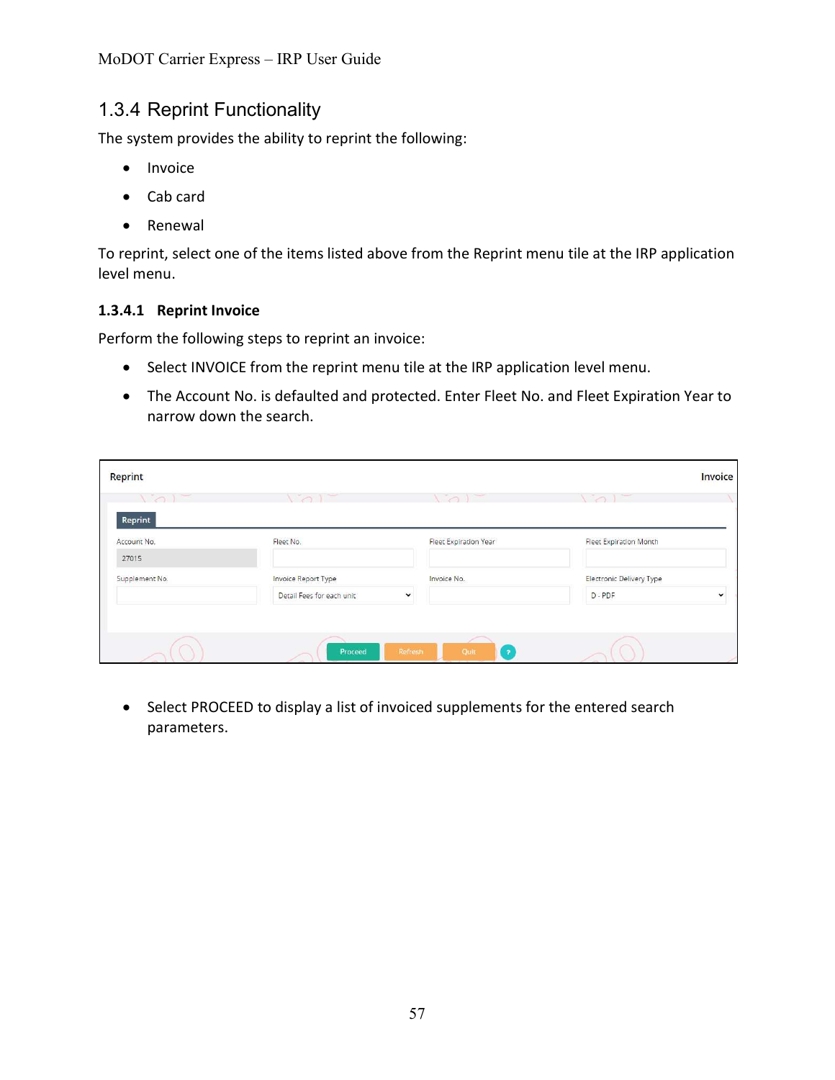MoDOT Carrier Express – IRP User Guide

## 1.3.4 Reprint Functionality

The system provides the ability to reprint the following:

- Invoice
- Cab card
- Renewal

To reprint, select one of the items listed above from the Reprint menu tile at the IRP application level menu.

### 1.3.4.1 Reprint Invoice

Perform the following steps to reprint an invoice:

- Select INVOICE from the reprint menu tile at the IRP application level menu.
- The Account No. is defaulted and protected. Enter Fleet No. and Fleet Expiration Year to narrow down the search.

| Reprint        |                                          |                                 |                                 | Invoice      |
|----------------|------------------------------------------|---------------------------------|---------------------------------|--------------|
| $\sqrt{1}$     | $\sim$<br>$\sim$ 1                       | $\sim$ $\sim$                   | $\sim$ $\sim$ $\sim$            |              |
| Reprint        |                                          |                                 |                                 |              |
| Account No.    | Fleet No.                                | Fleet Expiration Year           | <b>Fleet Expiration Month</b>   |              |
| 27015          |                                          |                                 |                                 |              |
| Supplement No. | Invoice Report Type                      | Invoice No.                     | <b>Electronic Delivery Type</b> |              |
|                | Detail Fees for each unit<br>$\check{~}$ |                                 | D-PDF                           | $\checkmark$ |
|                |                                          |                                 |                                 |              |
|                | Refresh<br>Proceed                       | Quit<br>$\overline{\mathbf{z}}$ |                                 |              |

• Select PROCEED to display a list of invoiced supplements for the entered search parameters.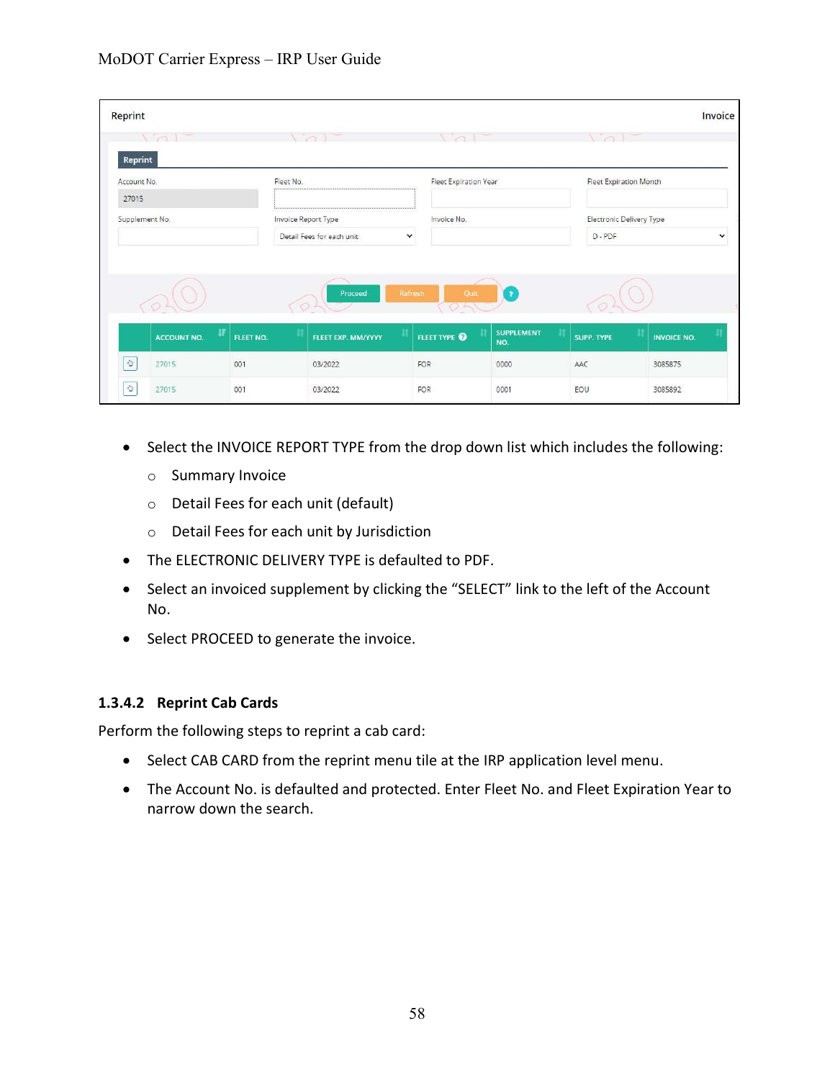| Reprint                 |                     |                                |                                      |                          |                               | Invoice            |
|-------------------------|---------------------|--------------------------------|--------------------------------------|--------------------------|-------------------------------|--------------------|
| $\sqrt{2}$              | $\sim$              |                                |                                      |                          |                               |                    |
| Reprint<br>Account No.  | Fleet No.           |                                | Fleet Expiration Year                |                          | <b>Fleet Expiration Month</b> |                    |
| 27015                   |                     |                                |                                      |                          |                               |                    |
| Supplement No.          | Invoice Report Type |                                | Invoice No.                          |                          | Electronic Delivery Type      |                    |
|                         |                     |                                |                                      |                          |                               |                    |
|                         |                     | Detail Fees for each unit<br>v |                                      |                          | $D - PDF$                     |                    |
|                         |                     | Proceed                        | Refresh<br>Quit<br>$\rightarrow$ $-$ | $\overline{\mathbf{r}}$  |                               | $\check{ }$        |
| 畢<br><b>ACCOUNT NO.</b> | и<br>FLEET NO.      | FLEET EXP. MM/YYYY             | FLEET TYPE <sup>O</sup>              | <b>SUPPLEMENT</b><br>NO. | <b>SUPP. TYPE</b>             | <b>INVOICE NO.</b> |
| $\vec{Q}$<br>27015      | 001                 | 03/2022                        | FOR                                  | 0000                     | AAC                           | 3085875            |

- Select the INVOICE REPORT TYPE from the drop down list which includes the following:
	- o Summary Invoice
	- o Detail Fees for each unit (default)
	- o Detail Fees for each unit by Jurisdiction
- The ELECTRONIC DELIVERY TYPE is defaulted to PDF.
- Select an invoiced supplement by clicking the "SELECT" link to the left of the Account No.
- Select PROCEED to generate the invoice.

### 1.3.4.2 Reprint Cab Cards

Perform the following steps to reprint a cab card:

- Select CAB CARD from the reprint menu tile at the IRP application level menu.
- The Account No. is defaulted and protected. Enter Fleet No. and Fleet Expiration Year to narrow down the search.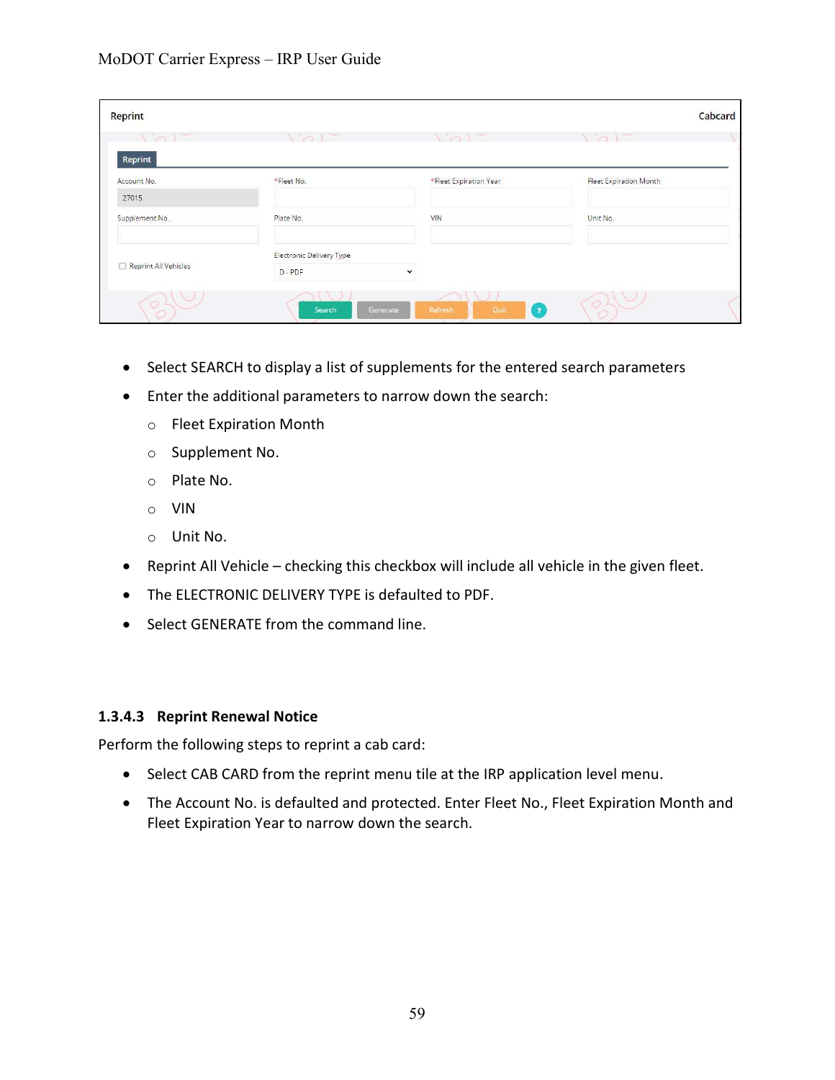| Reprint                                                                                                                                                                                                                                        |                                 |                                   | Cabcard                       |
|------------------------------------------------------------------------------------------------------------------------------------------------------------------------------------------------------------------------------------------------|---------------------------------|-----------------------------------|-------------------------------|
| $\sim$<br><u>1950 - 1950 - 1950 - 1950 - 1950 - 1950 - 1950 - 1950 - 1950 - 1950 - 1950 - 1950 - 1950 - 1950 - 1950 - 1950 - 1950 - 1950 - 1950 - 1950 - 1950 - 1950 - 1950 - 1950 - 1950 - 1950 - 1950 - 1950 - 1950 - 1950 - 1950 - 1950</u> | $\sim$<br>$\sim$ $\sim$         | $\sim$<br>$\sim$                  | $\sim$                        |
| Reprint<br>Account No.                                                                                                                                                                                                                         | *Fleet No.                      | *Fleet Expiration Year            | <b>Fleet Expiration Month</b> |
| 27015                                                                                                                                                                                                                                          |                                 |                                   |                               |
| Supplement No.                                                                                                                                                                                                                                 | Plate No.                       | VIN                               | Unit No.                      |
| Reprint All Vehicles                                                                                                                                                                                                                           | <b>Electronic Delivery Type</b> |                                   |                               |
|                                                                                                                                                                                                                                                | D-PDF                           | $\checkmark$                      |                               |
| O                                                                                                                                                                                                                                              | Generate<br>Search              | Refresh<br>Quit<br>$\overline{P}$ | O <sub>L</sub>                |

- Select SEARCH to display a list of supplements for the entered search parameters
- Enter the additional parameters to narrow down the search:
	- o Fleet Expiration Month
	- o Supplement No.
	- o Plate No.
	- o VIN
	- o Unit No.
- Reprint All Vehicle checking this checkbox will include all vehicle in the given fleet.
- The ELECTRONIC DELIVERY TYPE is defaulted to PDF.
- Select GENERATE from the command line.

### 1.3.4.3 Reprint Renewal Notice

Perform the following steps to reprint a cab card:

- Select CAB CARD from the reprint menu tile at the IRP application level menu.
- The Account No. is defaulted and protected. Enter Fleet No., Fleet Expiration Month and Fleet Expiration Year to narrow down the search.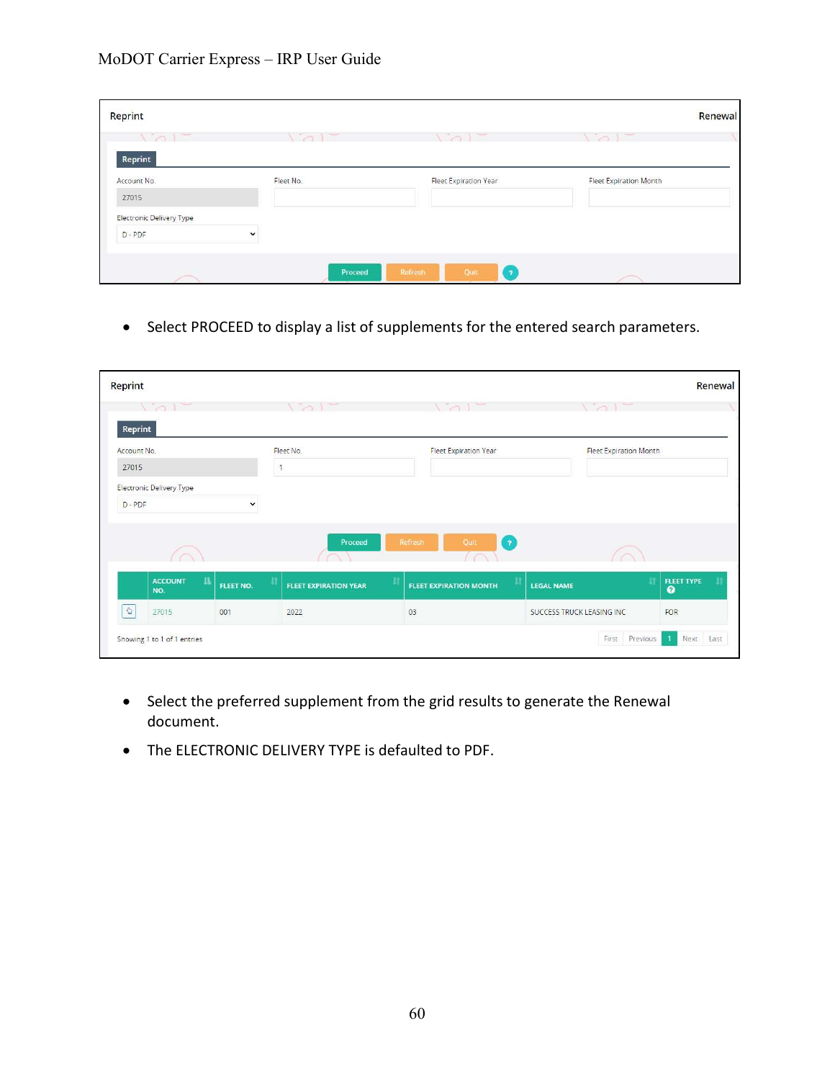| Reprint                  |               |                                             | Renewal                       |
|--------------------------|---------------|---------------------------------------------|-------------------------------|
| $\sim$ $-$               | $\sim$ $\sim$ | $\sim$                                      | $\sim$                        |
| Reprint<br>Account No.   | Fleet No.     | <b>Fleet Expiration Year</b>                | <b>Fleet Expiration Month</b> |
| 27015                    |               |                                             |                               |
| Electronic Delivery Type |               |                                             |                               |
| D-PDF                    | $\checkmark$  |                                             |                               |
|                          |               |                                             |                               |
|                          | Proceed       | $\overline{\phantom{a}}$<br>Refresh<br>Quit |                               |

Select PROCEED to display a list of supplements for the entered search parameters.

| <b>Reprint</b>         |                                        |             |                                   |                                |                               | Renewal                        |
|------------------------|----------------------------------------|-------------|-----------------------------------|--------------------------------|-------------------------------|--------------------------------|
|                        |                                        |             | $\sqrt{2}$                        | $\sqrt{2}$                     |                               |                                |
| Reprint<br>Account No. |                                        |             | Fleet No.                         | <b>Fleet Expiration Year</b>   | <b>Fleet Expiration Month</b> |                                |
| 27015                  |                                        |             |                                   |                                |                               |                                |
|                        | <b>Electronic Delivery Type</b>        |             |                                   |                                |                               |                                |
| D-PDF                  |                                        | $\check{ }$ |                                   |                                |                               |                                |
|                        |                                        |             |                                   |                                |                               |                                |
|                        |                                        |             | Proceed                           | Quit<br>$\boxed{2}$<br>Refresh |                               |                                |
|                        | $1\mathrm{h}$<br><b>ACCOUNT</b><br>NO. | FLEET NO.   | Ħ<br><b>FLEET EXPIRATION YEAR</b> | <b>FLEET EXPIRATION MONTH</b>  | л<br><b>LEGAL NAME</b>        | <b>FLEET TYPE</b><br>$\bullet$ |
| $\mathcal{Q}$          | 27015                                  | 001         | 2022                              | 03                             | SUCCESS TRUCK LEASING INC     | FOR                            |
|                        | Showing 1 to 1 of 1 entries            |             |                                   |                                | First Previous                | Next Last                      |

- Select the preferred supplement from the grid results to generate the Renewal document.
- The ELECTRONIC DELIVERY TYPE is defaulted to PDF.